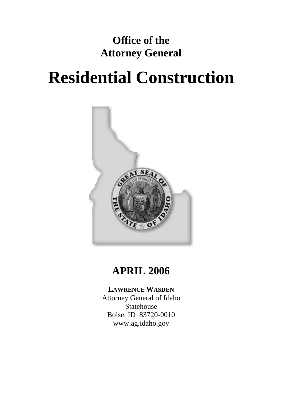### **Office of the Attorney General**

# **Residential Construction**



#### **APRIL 2006**

#### **LAWRENCE WASDEN**

Attorney General of Idaho Statehouse Boise, ID 83720-0010 www.ag.idaho.gov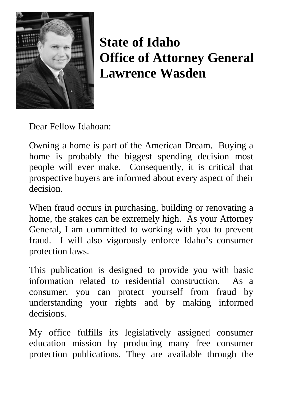

## **State of Idaho Office of Attorney General Lawrence Wasden**

Dear Fellow Idahoan:

Owning a home is part of the American Dream. Buying a home is probably the biggest spending decision most people will ever make. Consequently, it is critical that prospective buyers are informed about every aspect of their decision.

When fraud occurs in purchasing, building or renovating a home, the stakes can be extremely high. As your Attorney General, I am committed to working with you to prevent fraud. I will also vigorously enforce Idaho's consumer protection laws.

This publication is designed to provide you with basic information related to residential construction. As a consumer, you can protect yourself from fraud by understanding your rights and by making informed decisions.

My office fulfills its legislatively assigned consumer education mission by producing many free consumer protection publications. They are available through the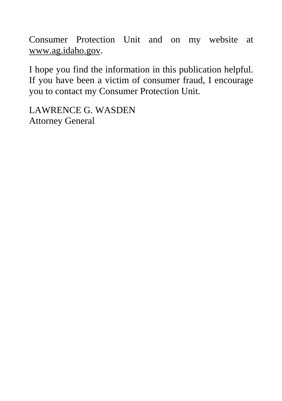Consumer Protection Unit and on my website at www.ag.idaho.gov.

I hope you find the information in this publication helpful. If you have been a victim of consumer fraud, I encourage you to contact my Consumer Protection Unit.

LAWRENCE G. WASDEN Attorney General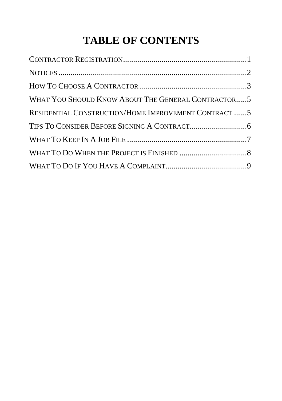### **TABLE OF CONTENTS**

| WHAT YOU SHOULD KNOW ABOUT THE GENERAL CONTRACTOR 5   |
|-------------------------------------------------------|
| RESIDENTIAL CONSTRUCTION/HOME IMPROVEMENT CONTRACT  5 |
|                                                       |
|                                                       |
|                                                       |
|                                                       |
|                                                       |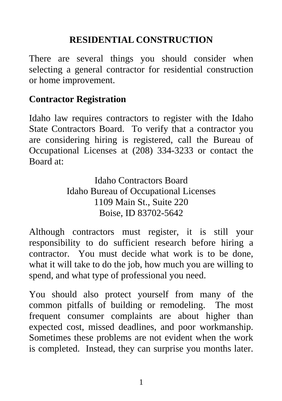#### **RESIDENTIAL CONSTRUCTION**

<span id="page-4-0"></span>There are several things you should consider when selecting a general contractor for residential construction or home improvement.

#### **Contractor Registration**

Idaho law requires contractors to register with the Idaho State Contractors Board. To verify that a contractor you are considering hiring is registered, call the Bureau of Occupational Licenses at (208) 334-3233 or contact the Board at:

> [Idaho Contractors Board](mailto:con@ibol.idaho.gov) [Idaho Bureau of Occupational Licenses](http://www.ibol.idaho.gov/genIBOL/iboContactLocation.htm) 1109 Main St., Suite 220 Boise, ID 83702-5642

Although contractors must register, it is still your responsibility to do sufficient research before hiring a contractor. You must decide what work is to be done, what it will take to do the job, how much you are willing to spend, and what type of professional you need.

You should also protect yourself from many of the common pitfalls of building or remodeling. The most frequent consumer complaints are about higher than expected cost, missed deadlines, and poor workmanship. Sometimes these problems are not evident when the work is completed. Instead, they can surprise you months later.

1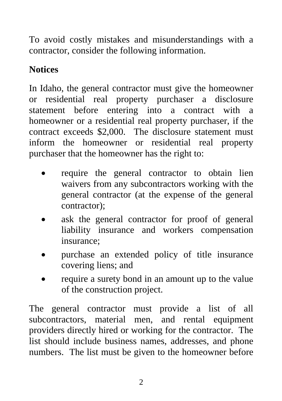<span id="page-5-0"></span>To avoid costly mistakes and misunderstandings with a contractor, consider the following information.

#### **Notices**

In Idaho, the general contractor must give the homeowner or residential real property purchaser a disclosure statement before entering into a contract with a homeowner or a residential real property purchaser, if the contract exceeds \$2,000. The disclosure statement must inform the homeowner or residential real property purchaser that the homeowner has the right to:

- require the general contractor to obtain lien waivers from any subcontractors working with the general contractor (at the expense of the general contractor);
- ask the general contractor for proof of general liability insurance and workers compensation insurance;
- purchase an extended policy of title insurance covering liens; and
- require a surety bond in an amount up to the value of the construction project.

The general contractor must provide a list of all subcontractors, material men, and rental equipment providers directly hired or working for the contractor. The list should include business names, addresses, and phone numbers. The list must be given to the homeowner before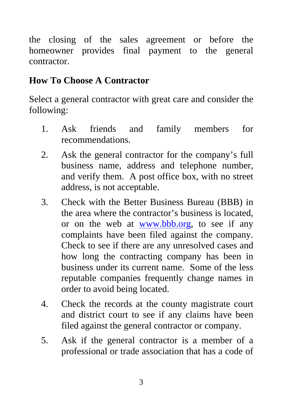<span id="page-6-0"></span>the closing of the sales agreement or before the homeowner provides final payment to the general contractor.

#### **How To Choose A Contractor**

Select a general contractor with great care and consider the following:

- 1. Ask friends and family members for recommendations.
- 2. Ask the general contractor for the company's full business name, address and telephone number, and verify them. A post office box, with no street address, is not acceptable.
- 3. Check with the Better Business Bureau (BBB) in the area where the contractor's business is located, or on the web at [www.bbb.org,](http://www.bbb.org/) to see if any complaints have been filed against the company. Check to see if there are any unresolved cases and how long the contracting company has been in business under its current name. Some of the less reputable companies frequently change names in order to avoid being located.
- 4. Check the records at the county magistrate court and district court to see if any claims have been filed against the general contractor or company.
- 5. Ask if the general contractor is a member of a professional or trade association that has a code of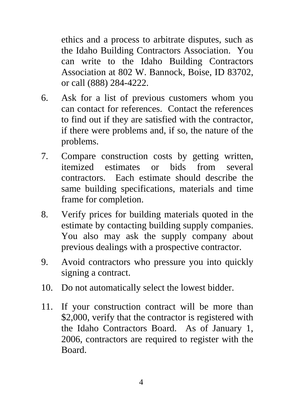ethics and a process to arbitrate disputes, such as the Idaho Building Contractors Association. You can write to the Idaho Building Contractors Association at 802 W. Bannock, Boise, ID 83702, or call (888) 284-4222.

- 6. Ask for a list of previous customers whom you can contact for references. Contact the references to find out if they are satisfied with the contractor, if there were problems and, if so, the nature of the problems.
- 7. Compare construction costs by getting written, itemized estimates or bids from several contractors. Each estimate should describe the same building specifications, materials and time frame for completion.
- 8. Verify prices for building materials quoted in the estimate by contacting building supply companies. You also may ask the supply company about previous dealings with a prospective contractor.
- 9. Avoid contractors who pressure you into quickly signing a contract.
- 10. Do not automatically select the lowest bidder.
- 11. If your construction contract will be more than \$2,000, verify that the contractor is registered with the Idaho Contractors Board. As of January 1, 2006, contractors are required to register with the Board.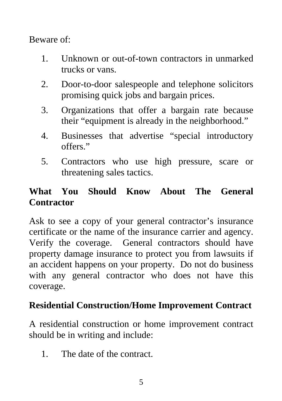<span id="page-8-0"></span>Beware of:

- 1. Unknown or out-of-town contractors in unmarked trucks or vans.
- 2. Door-to-door salespeople and telephone solicitors promising quick jobs and bargain prices.
- 3. Organizations that offer a bargain rate because their "equipment is already in the neighborhood."
- 4. Businesses that advertise "special introductory offers."
- 5. Contractors who use high pressure, scare or threatening sales tactics.

#### **What You Should Know About The General Contractor**

Ask to see a copy of your general contractor's insurance certificate or the name of the insurance carrier and agency. Verify the coverage. General contractors should have property damage insurance to protect you from lawsuits if an accident happens on your property. Do not do business with any general contractor who does not have this coverage.

#### **Residential Construction/Home Improvement Contract**

A residential construction or home improvement contract should be in writing and include:

1. The date of the contract.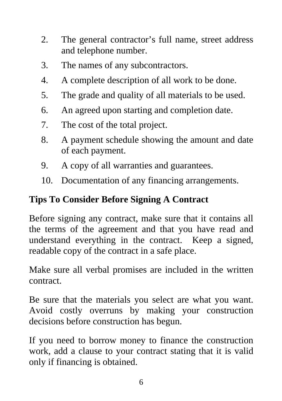- <span id="page-9-0"></span>2. The general contractor's full name, street address and telephone number.
- 3. The names of any subcontractors.
- 4. A complete description of all work to be done.
- 5. The grade and quality of all materials to be used.
- 6. An agreed upon starting and completion date.
- 7. The cost of the total project.
- 8. A payment schedule showing the amount and date of each payment.
- 9. A copy of all warranties and guarantees.
- 10. Documentation of any financing arrangements.

#### **Tips To Consider Before Signing A Contract**

Before signing any contract, make sure that it contains all the terms of the agreement and that you have read and understand everything in the contract. Keep a signed, readable copy of the contract in a safe place.

Make sure all verbal promises are included in the written contract.

Be sure that the materials you select are what you want. Avoid costly overruns by making your construction decisions before construction has begun.

If you need to borrow money to finance the construction work, add a clause to your contract stating that it is valid only if financing is obtained.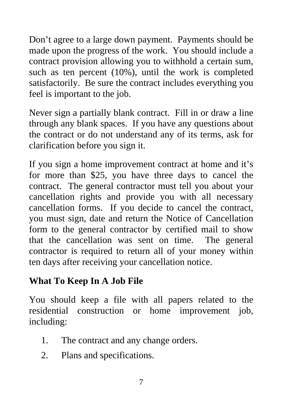<span id="page-10-0"></span>Don't agree to a large down payment. Payments should be made upon the progress of the work. You should include a contract provision allowing you to withhold a certain sum, such as ten percent (10%), until the work is completed satisfactorily. Be sure the contract includes everything you feel is important to the job.

Never sign a partially blank contract. Fill in or draw a line through any blank spaces. If you have any questions about the contract or do not understand any of its terms, ask for clarification before you sign it.

If you sign a home improvement contract at home and it's for more than \$25, you have three days to cancel the contract. The general contractor must tell you about your cancellation rights and provide you with all necessary cancellation forms. If you decide to cancel the contract, you must sign, date and return the Notice of Cancellation form to the general contractor by certified mail to show that the cancellation was sent on time. The general contractor is required to return all of your money within ten days after receiving your cancellation notice.

#### **What To Keep In A Job File**

You should keep a file with all papers related to the residential construction or home improvement job, including:

- 1. The contract and any change orders.
- 2. Plans and specifications.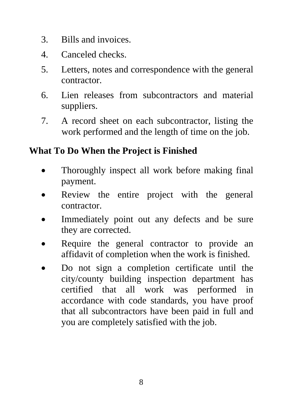- <span id="page-11-0"></span>3. Bills and invoices.
- 4. Canceled checks.
- 5. Letters, notes and correspondence with the general contractor.
- 6. Lien releases from subcontractors and material suppliers.
- 7. A record sheet on each subcontractor, listing the work performed and the length of time on the job.

#### **What To Do When the Project is Finished**

- Thoroughly inspect all work before making final payment.
- Review the entire project with the general contractor.
- Immediately point out any defects and be sure they are corrected.
- Require the general contractor to provide an affidavit of completion when the work is finished.
- Do not sign a completion certificate until the city/county building inspection department has certified that all work was performed in accordance with code standards, you have proof that all subcontractors have been paid in full and you are completely satisfied with the job.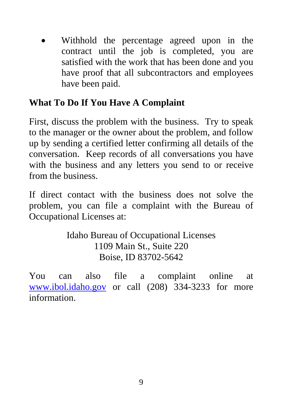<span id="page-12-0"></span>Withhold the percentage agreed upon in the contract until the job is completed, you are satisfied with the work that has been done and you have proof that all subcontractors and employees have been paid.

#### **What To Do If You Have A Complaint**

First, discuss the problem with the business. Try to speak to the manager or the owner about the problem, and follow up by sending a certified letter confirming all details of the conversation. Keep records of all conversations you have with the business and any letters you send to or receive from the business.

If direct contact with the business does not solve the problem, you can file a complaint with the Bureau of Occupational Licenses at:

> Idaho Bureau of Occupational Licenses 1109 Main St., Suite 220 Boise, ID 83702-5642

You can also file a complaint online at [www.ibol.idaho.gov](http://www.ibol.idaho.gov/) or call (208) 334-3233 for more information.